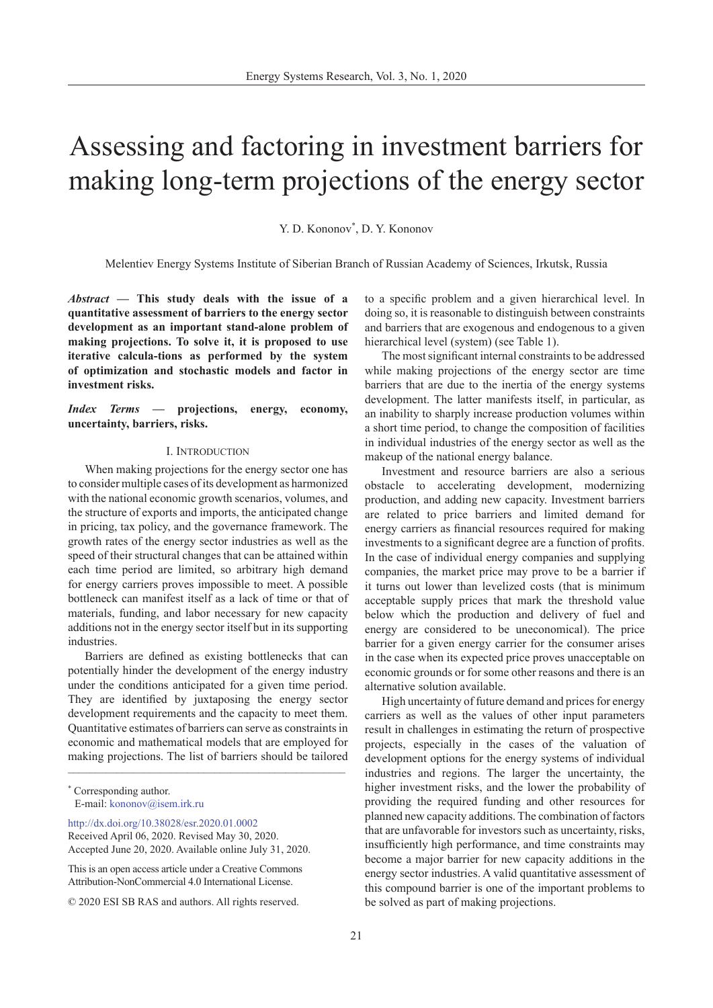# Assessing and factoring in investment barriers for making long-term projections of the energy sector

Y. D. Kononov<sup>\*</sup>, D. Y. Kononov

Melentiev Energy Systems Institute of Siberian Branch of Russian Academy of Sciences, Irkutsk, Russia

*Abstract* **— This study deals with the issue of a quantitative assessment of barriers to the energy sector development as an important stand-alone problem of making projections. To solve it, it is proposed to use iterative calcula-tions as performed by the system of optimization and stochastic models and factor in investment risks.**

*Index Terms* **— projections, energy, economy, uncertainty, barriers, risks.**

## I. Introduction

When making projections for the energy sector one has to consider multiple cases of its development as harmonized with the national economic growth scenarios, volumes, and the structure of exports and imports, the anticipated change in pricing, tax policy, and the governance framework. The growth rates of the energy sector industries as well as the speed of their structural changes that can be attained within each time period are limited, so arbitrary high demand for energy carriers proves impossible to meet. A possible bottleneck can manifest itself as a lack of time or that of materials, funding, and labor necessary for new capacity additions not in the energy sector itself but in its supporting **industries** 

\_\_\_\_\_\_\_\_\_\_\_\_\_\_\_\_\_\_\_\_\_\_\_\_\_\_\_\_\_\_\_\_\_\_\_\_\_\_\_\_\_\_\_\_\_\_\_\_\_\_\_ Barriers are defined as existing bottlenecks that can potentially hinder the development of the energy industry under the conditions anticipated for a given time period. They are identified by juxtaposing the energy sector development requirements and the capacity to meet them. Quantitative estimates of barriers can serve as constraints in economic and mathematical models that are employed for making projections. The list of barriers should be tailored

[http://dx.doi.org/10.38028/esr.2020.01.000](http://dx.doi.org/10.38028/esr.2020.01.0002)2 Received April 06, 2020. Revised May 30, 2020. Accepted June 20, 2020. Available online July 31, 2020.

This is an open access article under a Creative Commons Attribution-NonCommercial 4.0 International License.

© 2020 ESI SB RAS and authors. All rights reserved.

to a specific problem and a given hierarchical level. In doing so, it is reasonable to distinguish between constraints and barriers that are exogenous and endogenous to a given hierarchical level (system) (see Table 1).

The most significant internal constraints to be addressed while making projections of the energy sector are time barriers that are due to the inertia of the energy systems development. The latter manifests itself, in particular, as an inability to sharply increase production volumes within a short time period, to change the composition of facilities in individual industries of the energy sector as well as the makeup of the national energy balance.

Investment and resource barriers are also a serious obstacle to accelerating development, modernizing production, and adding new capacity. Investment barriers are related to price barriers and limited demand for energy carriers as financial resources required for making investments to a significant degree are a function of profits. In the case of individual energy companies and supplying companies, the market price may prove to be a barrier if it turns out lower than levelized costs (that is minimum acceptable supply prices that mark the threshold value below which the production and delivery of fuel and energy are considered to be uneconomical). The price barrier for a given energy carrier for the consumer arises in the case when its expected price proves unacceptable on economic grounds or for some other reasons and there is an alternative solution available.

High uncertainty of future demand and prices for energy carriers as well as the values of other input parameters result in challenges in estimating the return of prospective projects, especially in the cases of the valuation of development options for the energy systems of individual industries and regions. The larger the uncertainty, the higher investment risks, and the lower the probability of providing the required funding and other resources for planned new capacity additions. The combination of factors that are unfavorable for investors such as uncertainty, risks, insufficiently high performance, and time constraints may become a major barrier for new capacity additions in the energy sector industries. A valid quantitative assessment of this compound barrier is one of the important problems to be solved as part of making projections.

<sup>\*</sup> Corresponding author. E-mail: kononov@isem.irk.r[u](mailto:kononov%40isem.irk.ru?subject=)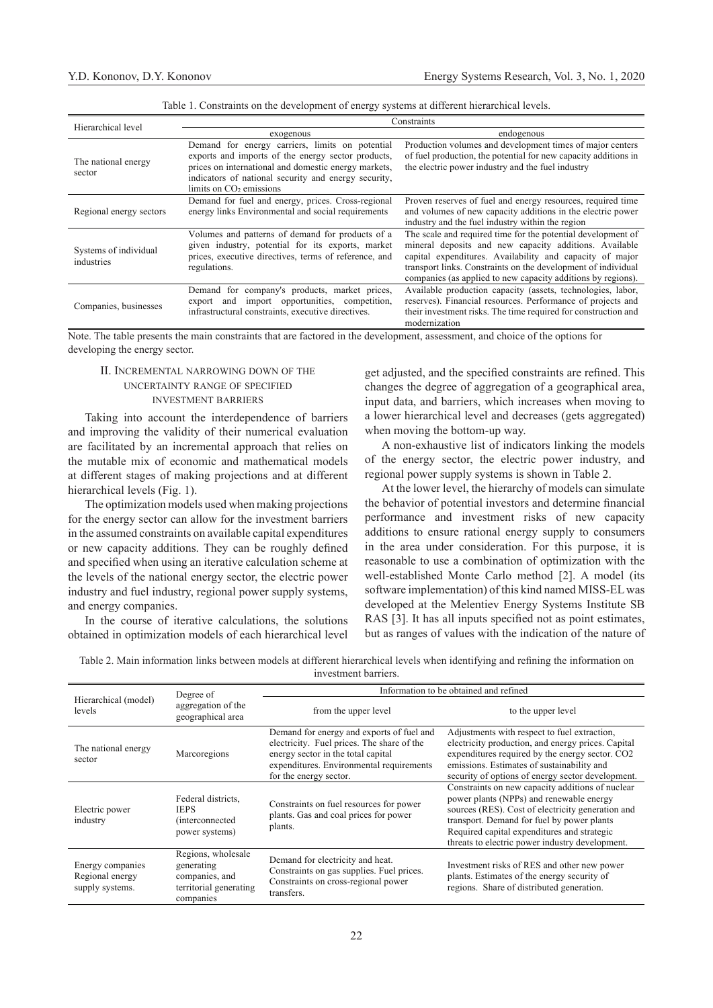| Hierarchical level                  | Constraints                                                                                                                                                                                                                                        |                                                                                                                                                                                                                                                                                                                     |  |
|-------------------------------------|----------------------------------------------------------------------------------------------------------------------------------------------------------------------------------------------------------------------------------------------------|---------------------------------------------------------------------------------------------------------------------------------------------------------------------------------------------------------------------------------------------------------------------------------------------------------------------|--|
|                                     | exogenous                                                                                                                                                                                                                                          | endogenous                                                                                                                                                                                                                                                                                                          |  |
| The national energy<br>sector       | Demand for energy carriers, limits on potential<br>exports and imports of the energy sector products,<br>prices on international and domestic energy markets,<br>indicators of national security and energy security,<br>limits on $CO2$ emissions | Production volumes and development times of major centers<br>of fuel production, the potential for new capacity additions in<br>the electric power industry and the fuel industry                                                                                                                                   |  |
| Regional energy sectors             | Demand for fuel and energy, prices. Cross-regional<br>energy links Environmental and social requirements                                                                                                                                           | Proven reserves of fuel and energy resources, required time<br>and volumes of new capacity additions in the electric power<br>industry and the fuel industry within the region                                                                                                                                      |  |
| Systems of individual<br>industries | Volumes and patterns of demand for products of a<br>given industry, potential for its exports, market<br>prices, executive directives, terms of reference, and<br>regulations.                                                                     | The scale and required time for the potential development of<br>mineral deposits and new capacity additions. Available<br>capital expenditures. Availability and capacity of major<br>transport links. Constraints on the development of individual<br>companies (as applied to new capacity additions by regions). |  |
| Companies, businesses               | company's products, market prices,<br>Demand for<br>export and import opportunities, competition,<br>infrastructural constraints, executive directives.                                                                                            | Available production capacity (assets, technologies, labor,<br>reserves). Financial resources. Performance of projects and<br>their investment risks. The time required for construction and<br>modernization                                                                                                       |  |

Table 1. Constraints on the development of energy systems at different hierarchical levels.

Note. The table presents the main constraints that are factored in the development, assessment, and choice of the options for developing the energy sector.

# II. Incremental narrowing down of the uncertainty range of specified investment barriers

Taking into account the interdependence of barriers and improving the validity of their numerical evaluation are facilitated by an incremental approach that relies on the mutable mix of economic and mathematical models at different stages of making projections and at different hierarchical levels (Fig. 1).

The optimization models used when making projections for the energy sector can allow for the investment barriers in the assumed constraints on available capital expenditures or new capacity additions. They can be roughly defined and specified when using an iterative calculation scheme at the levels of the national energy sector, the electric power industry and fuel industry, regional power supply systems, and energy companies.

In the course of iterative calculations, the solutions obtained in optimization models of each hierarchical level get adjusted, and the specified constraints are refined. This changes the degree of aggregation of a geographical area, input data, and barriers, which increases when moving to a lower hierarchical level and decreases (gets aggregated) when moving the bottom-up way.

A non-exhaustive list of indicators linking the models of the energy sector, the electric power industry, and regional power supply systems is shown in Table 2.

At the lower level, the hierarchy of models can simulate the behavior of potential investors and determine financial performance and investment risks of new capacity additions to ensure rational energy supply to consumers in the area under consideration. For this purpose, it is reasonable to use a combination of optimization with the well-established Monte Carlo method [2]. A model (its software implementation) of this kind named MISS-EL was developed at the Melentiev Energy Systems Institute SB RAS [3]. It has all inputs specified not as point estimates, but as ranges of values with the indication of the nature of

Table 2. Main information links between models at different hierarchical levels when identifying and refining the information on investment barriers.

|                                                        | Degree of<br>aggregation of the<br>geographical area                                      | Information to be obtained and refined                                                                                                                                                              |                                                                                                                                                                                                                                                                                                   |  |
|--------------------------------------------------------|-------------------------------------------------------------------------------------------|-----------------------------------------------------------------------------------------------------------------------------------------------------------------------------------------------------|---------------------------------------------------------------------------------------------------------------------------------------------------------------------------------------------------------------------------------------------------------------------------------------------------|--|
| Hierarchical (model)<br>levels                         |                                                                                           | from the upper level                                                                                                                                                                                | to the upper level                                                                                                                                                                                                                                                                                |  |
| The national energy<br>sector                          | Marcoregions                                                                              | Demand for energy and exports of fuel and<br>electricity. Fuel prices. The share of the<br>energy sector in the total capital<br>expenditures. Environmental requirements<br>for the energy sector. | Adjustments with respect to fuel extraction,<br>electricity production, and energy prices. Capital<br>expenditures required by the energy sector. CO2<br>emissions. Estimates of sustainability and<br>security of options of energy sector development.                                          |  |
| Electric power<br>industry                             | Federal districts,<br><b>IEPS</b><br><i>(interconnected)</i><br>power systems)            | Constraints on fuel resources for power<br>plants. Gas and coal prices for power<br>plants.                                                                                                         | Constraints on new capacity additions of nuclear<br>power plants (NPPs) and renewable energy<br>sources (RES). Cost of electricity generation and<br>transport. Demand for fuel by power plants<br>Required capital expenditures and strategic<br>threats to electric power industry development. |  |
| Energy companies<br>Regional energy<br>supply systems. | Regions, wholesale<br>generating<br>companies, and<br>territorial generating<br>companies | Demand for electricity and heat.<br>Constraints on gas supplies. Fuel prices.<br>Constraints on cross-regional power<br>transfers.                                                                  | Investment risks of RES and other new power<br>plants. Estimates of the energy security of<br>regions. Share of distributed generation.                                                                                                                                                           |  |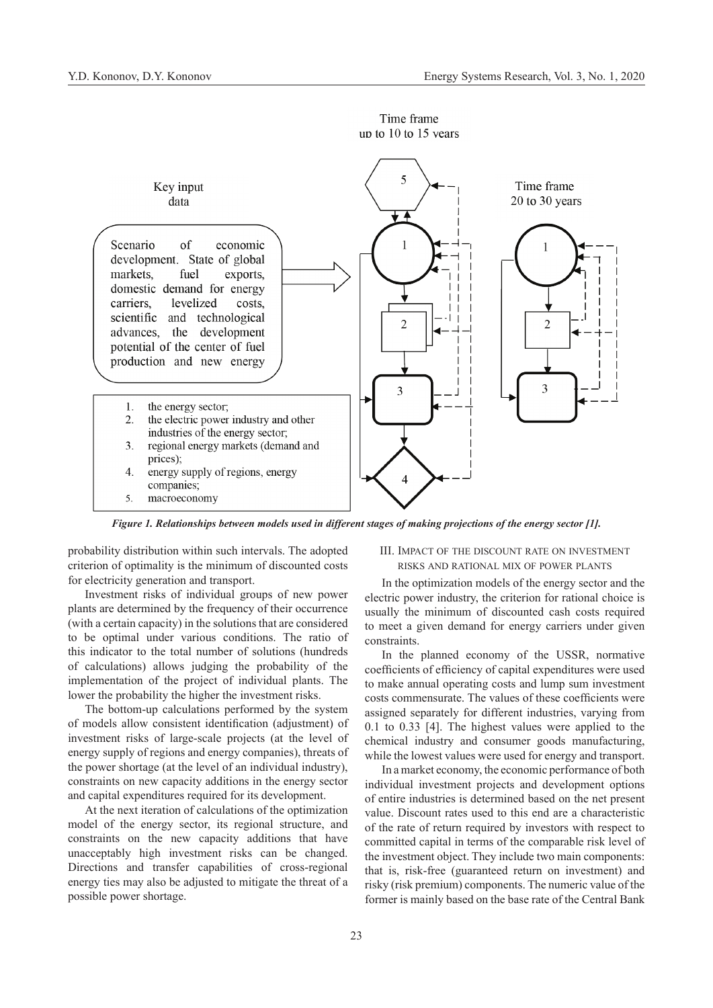

Time frame up to  $10$  to  $15$  vears

*Figure 1. Relationships between models used in different stages of making projections of the energy sector [1].*

probability distribution within such intervals. The adopted criterion of optimality is the minimum of discounted costs for electricity generation and transport.

Investment risks of individual groups of new power plants are determined by the frequency of their occurrence (with a certain capacity) in the solutions that are considered to be optimal under various conditions. The ratio of this indicator to the total number of solutions (hundreds of calculations) allows judging the probability of the implementation of the project of individual plants. The lower the probability the higher the investment risks.

The bottom-up calculations performed by the system of models allow consistent identification (adjustment) of investment risks of large-scale projects (at the level of energy supply of regions and energy companies), threats of the power shortage (at the level of an individual industry), constraints on new capacity additions in the energy sector and capital expenditures required for its development.

At the next iteration of calculations of the optimization model of the energy sector, its regional structure, and constraints on the new capacity additions that have unacceptably high investment risks can be changed. Directions and transfer capabilities of cross-regional energy ties may also be adjusted to mitigate the threat of a possible power shortage.

# III. Impact of the discount rate on investment risks and rational mix of power plants

In the optimization models of the energy sector and the electric power industry, the criterion for rational choice is usually the minimum of discounted cash costs required to meet a given demand for energy carriers under given constraints.

In the planned economy of the USSR, normative coefficients of efficiency of capital expenditures were used to make annual operating costs and lump sum investment costs commensurate. The values of these coefficients were assigned separately for different industries, varying from 0.1 to 0.33 [4]. The highest values were applied to the chemical industry and consumer goods manufacturing, while the lowest values were used for energy and transport.

In a market economy, the economic performance of both individual investment projects and development options of entire industries is determined based on the net present value. Discount rates used to this end are a characteristic of the rate of return required by investors with respect to committed capital in terms of the comparable risk level of the investment object. They include two main components: that is, risk-free (guaranteed return on investment) and risky (risk premium) components. The numeric value of the former is mainly based on the base rate of the Central Bank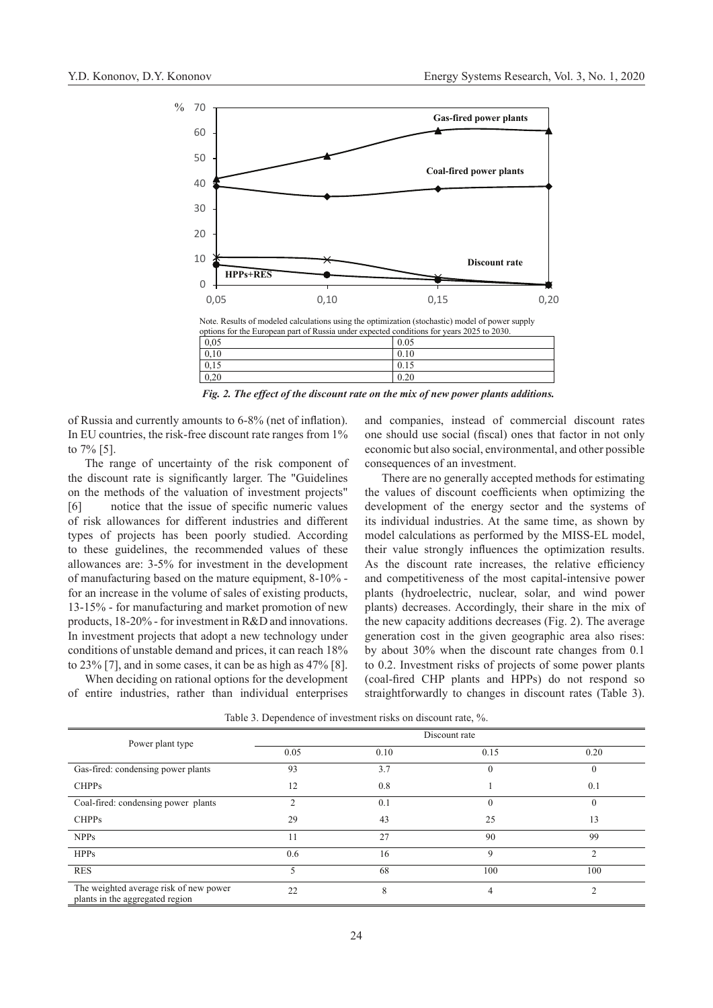

Note. Results of modeled calculations using the optimization (stochastic) model of power supply options for the European part of Russia under expected conditions for years 2025 to 2030.

| 0,05 | 0.05 |
|------|------|
| 0,10 | 0.10 |
| 0,15 | 0.15 |
| 0,20 | 0.20 |
|      |      |

*Fig. 2. The effect of the discount rate on the mix of new power plants additions.*

of Russia and currently amounts to 6-8% (net of inflation). In EU countries, the risk-free discount rate ranges from 1% to 7% [5].

The range of uncertainty of the risk component of the discount rate is significantly larger. The "Guidelines on the methods of the valuation of investment projects" [6] notice that the issue of specific numeric values of risk allowances for different industries and different types of projects has been poorly studied. According to these guidelines, the recommended values of these allowances are: 3-5% for investment in the development of manufacturing based on the mature equipment, 8-10% for an increase in the volume of sales of existing products, 13-15% - for manufacturing and market promotion of new products, 18-20% - for investment in R&D and innovations. In investment projects that adopt a new technology under conditions of unstable demand and prices, it can reach 18% to 23% [7], and in some cases, it can be as high as 47% [8].

When deciding on rational options for the development of entire industries, rather than individual enterprises and companies, instead of commercial discount rates one should use social (fiscal) ones that factor in not only economic but also social, environmental, and other possible consequences of an investment.

There are no generally accepted methods for estimating the values of discount coefficients when optimizing the development of the energy sector and the systems of its individual industries. At the same time, as shown by model calculations as performed by the MISS-EL model, their value strongly influences the optimization results. As the discount rate increases, the relative efficiency and competitiveness of the most capital-intensive power plants (hydroelectric, nuclear, solar, and wind power plants) decreases. Accordingly, their share in the mix of the new capacity additions decreases (Fig. 2). The average generation cost in the given geographic area also rises: by about 30% when the discount rate changes from 0.1 to 0.2. Investment risks of projects of some power plants (coal-fired CHP plants and HPPs) do not respond so straightforwardly to changes in discount rates (Table 3).

| Power plant type                                                          | Discount rate |      |      |              |
|---------------------------------------------------------------------------|---------------|------|------|--------------|
|                                                                           | 0.05          | 0.10 | 0.15 | 0.20         |
| Gas-fired: condensing power plants                                        | 93            | 3.7  |      | $\mathbf{0}$ |
| <b>CHPPs</b>                                                              | 12            | 0.8  |      | 0.1          |
| Coal-fired: condensing power plants                                       |               | 0.1  |      | $\theta$     |
| <b>CHPPs</b>                                                              | 29            | 43   | 25   | 13           |
| <b>NPPs</b>                                                               |               | 27   | 90   | 99           |
| <b>HPPs</b>                                                               | 0.6           | 16   | Q    |              |
| <b>RES</b>                                                                |               | 68   | 100  | 100          |
| The weighted average risk of new power<br>plants in the aggregated region | 22            | 8    | 4    | ◠            |

Table 3. Dependence of investment risks on discount rate, %.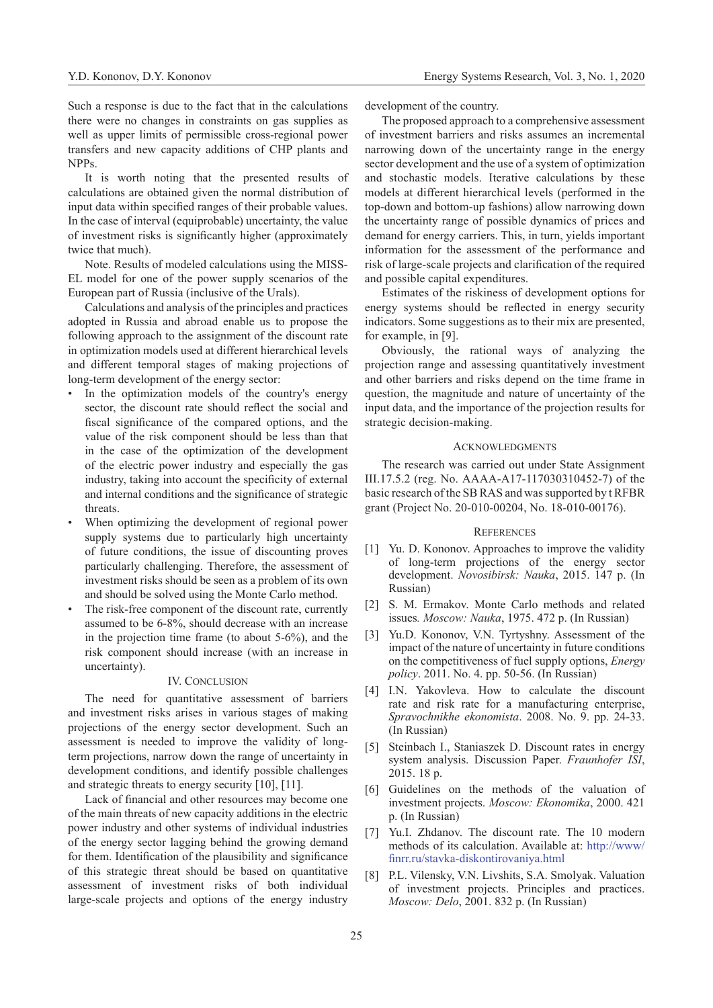Such a response is due to the fact that in the calculations there were no changes in constraints on gas supplies as well as upper limits of permissible cross-regional power transfers and new capacity additions of CHP plants and NPPs.

It is worth noting that the presented results of calculations are obtained given the normal distribution of input data within specified ranges of their probable values. In the case of interval (equiprobable) uncertainty, the value of investment risks is significantly higher (approximately twice that much).

Note. Results of modeled calculations using the MISS-EL model for one of the power supply scenarios of the European part of Russia (inclusive of the Urals).

Calculations and analysis of the principles and practices adopted in Russia and abroad enable us to propose the following approach to the assignment of the discount rate in optimization models used at different hierarchical levels and different temporal stages of making projections of long-term development of the energy sector:

- In the optimization models of the country's energy sector, the discount rate should reflect the social and fiscal significance of the compared options, and the value of the risk component should be less than that in the case of the optimization of the development of the electric power industry and especially the gas industry, taking into account the specificity of external and internal conditions and the significance of strategic threats.
- When optimizing the development of regional power supply systems due to particularly high uncertainty of future conditions, the issue of discounting proves particularly challenging. Therefore, the assessment of investment risks should be seen as a problem of its own and should be solved using the Monte Carlo method.
- The risk-free component of the discount rate, currently assumed to be 6-8%, should decrease with an increase in the projection time frame (to about 5-6%), and the risk component should increase (with an increase in uncertainty).

#### IV. CONCLUSION

The need for quantitative assessment of barriers and investment risks arises in various stages of making projections of the energy sector development. Such an assessment is needed to improve the validity of longterm projections, narrow down the range of uncertainty in development conditions, and identify possible challenges and strategic threats to energy security [10], [11].

Lack of financial and other resources may become one of the main threats of new capacity additions in the electric power industry and other systems of individual industries of the energy sector lagging behind the growing demand for them. Identification of the plausibility and significance of this strategic threat should be based on quantitative assessment of investment risks of both individual large-scale projects and options of the energy industry development of the country.

The proposed approach to a comprehensive assessment of investment barriers and risks assumes an incremental narrowing down of the uncertainty range in the energy sector development and the use of a system of optimization and stochastic models. Iterative calculations by these models at different hierarchical levels (performed in the top-down and bottom-up fashions) allow narrowing down the uncertainty range of possible dynamics of prices and demand for energy carriers. This, in turn, yields important information for the assessment of the performance and risk of large-scale projects and clarification of the required and possible capital expenditures.

Estimates of the riskiness of development options for energy systems should be reflected in energy security indicators. Some suggestions as to their mix are presented, for example, in [9].

Obviously, the rational ways of analyzing the projection range and assessing quantitatively investment and other barriers and risks depend on the time frame in question, the magnitude and nature of uncertainty of the input data, and the importance of the projection results for strategic decision-making.

#### **ACKNOWLEDGMENTS**

The research was carried out under State Assignment III.17.5.2 (reg. No. АААА-А17-117030310452-7) of the basic research of the SB RAS and was supported by t RFBR grant (Project No. 20-010-00204, No. 18-010-00176).

### **REFERENCES**

- [1] Yu. D. Kononov. Approaches to improve the validity of long-term projections of the energy sector development. *Novosibirsk: Nauka*, 2015. 147 p. (In Russian)
- [2] S. M. Ermakov. Monte Carlo methods and related issues*. Moscow: Nauka*, 1975. 472 p. (In Russian)
- [3] Yu.D. Kononov, V.N. Tyrtyshny. Assessment of the impact of the nature of uncertainty in future conditions on the competitiveness of fuel supply options, *Energy policy*. 2011. No. 4. pp. 50-56. (In Russian)
- [4] I.N. Yakovleva. How to calculate the discount rate and risk rate for a manufacturing enterprise, *Spravochnikhe ekonomista*. 2008. No. 9. pp. 24-33. (In Russian)
- [5] Steinbach I., Staniaszek D. Discount rates in energy system analysis. Discussion Paper. *Fraunhofer ISI*, 2015. 18 p.
- [6] Guidelines on the methods of the valuation of investment projects. *Moscow: Ekonomika*, 2000. 421 p. (In Russian)
- [7] Yu.I. Zhdanov. The discount rate. The 10 modern methods of its calculation. Available at: [http://www/](http://www/finrr.ru/stavka-diskontirovaniya.html) [finrr.ru/stavka-diskontirovaniya.html](http://www/finrr.ru/stavka-diskontirovaniya.html)
- [8] P.L. Vilensky, V.N. Livshits, S.A. Smolyak. Valuation of investment projects. Principles and practices. *Moscow: Delo*, 2001. 832 p. (In Russian)